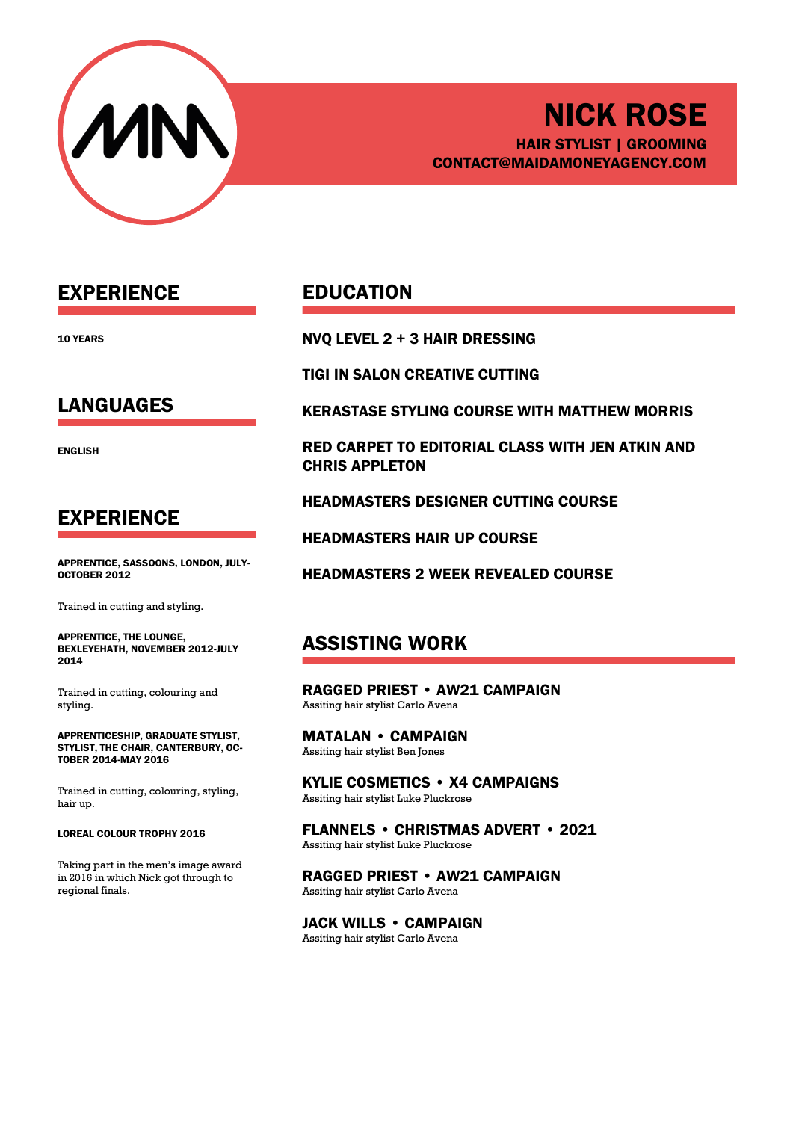

# NICK ROSE HAIR STYLIST | GROOMING CONTACT@MAIDAMONEYAGENCY.COM

## EXPERIENCE

10 YEARS

## LANGUAGES

ENGLISH

### EXPERIENCE

APPRENTICE, SASSOONS, LONDON, JULY-OCTOBER 2012

Trained in cutting and styling.

APPRENTICE, THE LOUNGE, BEXLEYEHATH, NOVEMBER 2012-JULY 2014

Trained in cutting, colouring and styling.

APPRENTICESHIP, GRADUATE STYLIST, STYLIST, THE CHAIR, CANTERBURY, OC-TOBER 2014-MAY 2016

Trained in cutting, colouring, styling, hair up.

#### LOREAL COLOUR TROPHY 2016

Taking part in the men's image award in 2016 in which Nick got through to regional finals.

### EDUCATION

NVQ LEVEL 2 + 3 HAIR DRESSING

TIGI IN SALON CREATIVE CUTTING

KERASTASE STYLING COURSE WITH MATTHEW MORRIS

RED CARPET TO EDITORIAL CLASS WITH JEN ATKIN AND CHRIS APPLETON

HEADMASTERS DESIGNER CUTTING COURSE

HEADMASTERS HAIR UP COURSE

HEADMASTERS 2 WEEK REVEALED COURSE

## ASSISTING WORK

RAGGED PRIEST • AW21 CAMPAIGN Assiting hair stylist Carlo Avena

MATALAN • CAMPAIGN Assiting hair stylist Ben Jones

KYLIE COSMETICS • X4 CAMPAIGNS Assiting hair stylist Luke Pluckrose

FLANNELS • CHRISTMAS ADVERT • 2021 Assiting hair stylist Luke Pluckrose

RAGGED PRIEST • AW21 CAMPAIGN Assiting hair stylist Carlo Avena

JACK WILLS • CAMPAIGN Assiting hair stylist Carlo Avena